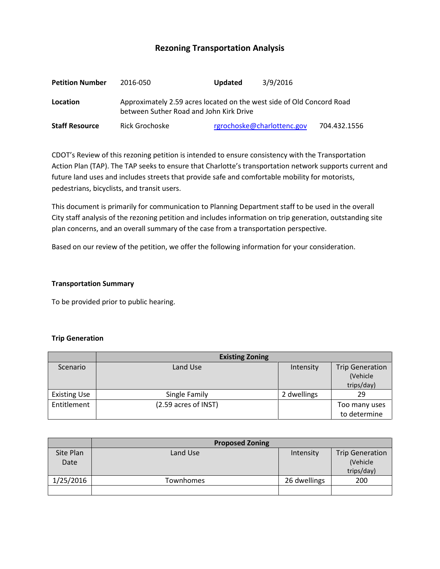# **Rezoning Transportation Analysis**

| <b>Petition Number</b> | 2016-050                                                                                                         | <b>Updated</b>             | 3/9/2016 |              |  |  |
|------------------------|------------------------------------------------------------------------------------------------------------------|----------------------------|----------|--------------|--|--|
| Location               | Approximately 2.59 acres located on the west side of Old Concord Road<br>between Suther Road and John Kirk Drive |                            |          |              |  |  |
| <b>Staff Resource</b>  | Rick Grochoske                                                                                                   | rgrochoske@charlottenc.gov |          | 704.432.1556 |  |  |

CDOT's Review of this rezoning petition is intended to ensure consistency with the Transportation Action Plan (TAP). The TAP seeks to ensure that Charlotte's transportation network supports current and future land uses and includes streets that provide safe and comfortable mobility for motorists, pedestrians, bicyclists, and transit users.

This document is primarily for communication to Planning Department staff to be used in the overall City staff analysis of the rezoning petition and includes information on trip generation, outstanding site plan concerns, and an overall summary of the case from a transportation perspective.

Based on our review of the petition, we offer the following information for your consideration.

#### **Transportation Summary**

To be provided prior to public hearing.

#### **Trip Generation**

|                     | <b>Existing Zoning</b> |             |                                                   |  |
|---------------------|------------------------|-------------|---------------------------------------------------|--|
| Scenario            | Land Use               | Intensity   | <b>Trip Generation</b><br>(Vehicle)<br>trips/day) |  |
| <b>Existing Use</b> | Single Family          | 2 dwellings | 29                                                |  |
| Entitlement         | (2.59 acres of INST)   |             | Too many uses<br>to determine                     |  |

|           | <b>Proposed Zoning</b> |              |                        |
|-----------|------------------------|--------------|------------------------|
| Site Plan | Land Use               | Intensity    | <b>Trip Generation</b> |
| Date      |                        |              | (Vehicle               |
|           |                        |              | trips/day)             |
| 1/25/2016 | Townhomes              | 26 dwellings | 200                    |
|           |                        |              |                        |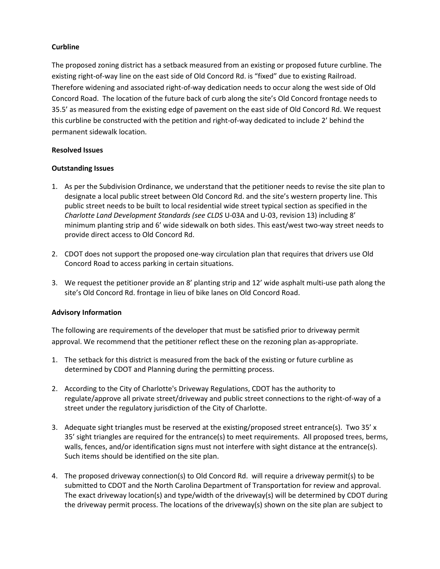# **Curbline**

The proposed zoning district has a setback measured from an existing or proposed future curbline. The existing right-of-way line on the east side of Old Concord Rd. is "fixed" due to existing Railroad. Therefore widening and associated right-of-way dedication needs to occur along the west side of Old Concord Road. The location of the future back of curb along the site's Old Concord frontage needs to 35.5' as measured from the existing edge of pavement on the east side of Old Concord Rd. We request this curbline be constructed with the petition and right-of-way dedicated to include 2' behind the permanent sidewalk location.

### **Resolved Issues**

# **Outstanding Issues**

- 1. As per the Subdivision Ordinance, we understand that the petitioner needs to revise the site plan to designate a local public street between Old Concord Rd. and the site's western property line. This public street needs to be built to local residential wide street typical section as specified in the *Charlotte Land Development Standards (see CLDS* U-03A and U-03, revision 13) including 8' minimum planting strip and 6' wide sidewalk on both sides. This east/west two-way street needs to provide direct access to Old Concord Rd.
- 2. CDOT does not support the proposed one-way circulation plan that requires that drivers use Old Concord Road to access parking in certain situations.
- 3. We request the petitioner provide an 8' planting strip and 12' wide asphalt multi-use path along the site's Old Concord Rd. frontage in lieu of bike lanes on Old Concord Road.

### **Advisory Information**

The following are requirements of the developer that must be satisfied prior to driveway permit approval. We recommend that the petitioner reflect these on the rezoning plan as-appropriate.

- 1. The setback for this district is measured from the back of the existing or future curbline as determined by CDOT and Planning during the permitting process.
- 2. According to the City of Charlotte's Driveway Regulations, CDOT has the authority to regulate/approve all private street/driveway and public street connections to the right-of-way of a street under the regulatory jurisdiction of the City of Charlotte.
- 3. Adequate sight triangles must be reserved at the existing/proposed street entrance(s). Two 35' x 35' sight triangles are required for the entrance(s) to meet requirements. All proposed trees, berms, walls, fences, and/or identification signs must not interfere with sight distance at the entrance(s). Such items should be identified on the site plan.
- 4. The proposed driveway connection(s) to Old Concord Rd. will require a driveway permit(s) to be submitted to CDOT and the North Carolina Department of Transportation for review and approval. The exact driveway location(s) and type/width of the driveway(s) will be determined by CDOT during the driveway permit process. The locations of the driveway(s) shown on the site plan are subject to